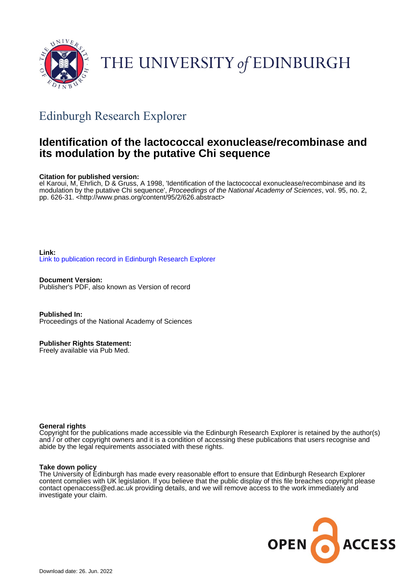

# THE UNIVERSITY of EDINBURGH

## Edinburgh Research Explorer

## **Identification of the lactococcal exonuclease/recombinase and its modulation by the putative Chi sequence**

#### **Citation for published version:**

el Karoui, M, Ehrlich, D & Gruss, A 1998, 'Identification of the lactococcal exonuclease/recombinase and its modulation by the putative Chi sequence', Proceedings of the National Academy of Sciences, vol. 95, no. 2, pp. 626-31. [<http://www.pnas.org/content/95/2/626.abstract](http://www.pnas.org/content/95/2/626.abstract)>

**Link:** [Link to publication record in Edinburgh Research Explorer](https://www.research.ed.ac.uk/en/publications/a50120e4-b837-4cb0-bee9-03a8ab04f95f)

**Document Version:** Publisher's PDF, also known as Version of record

**Published In:** Proceedings of the National Academy of Sciences

**Publisher Rights Statement:**

Freely available via Pub Med.

#### **General rights**

Copyright for the publications made accessible via the Edinburgh Research Explorer is retained by the author(s) and / or other copyright owners and it is a condition of accessing these publications that users recognise and abide by the legal requirements associated with these rights.

#### **Take down policy**

The University of Edinburgh has made every reasonable effort to ensure that Edinburgh Research Explorer content complies with UK legislation. If you believe that the public display of this file breaches copyright please contact openaccess@ed.ac.uk providing details, and we will remove access to the work immediately and investigate your claim.

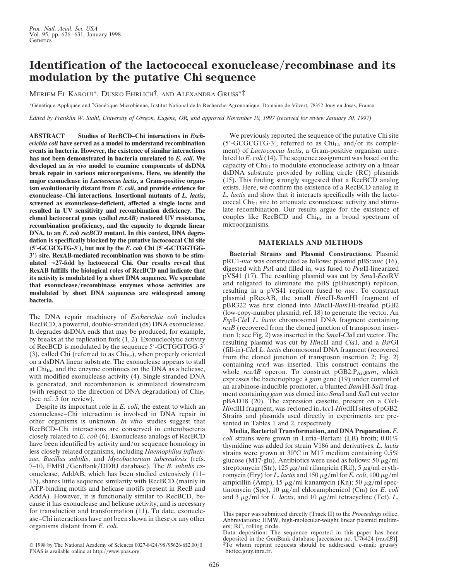### **Identification of the lactococcal exonuclease/recombinase and its modulation by the putative Chi sequence**

MERIEM EL KAROUI\*, DUSKO EHRLICH†, AND ALEXANDRA GRUSS\*‡

\*Génétique Appliquée and †Génétique Microbienne, Institut National de la Recherche Agronomique, Domaine de Vilvert, 78352 Jouy en Josas, France

*Edited by Franklin W. Stahl, University of Oregon, Eugene, OR, and approved November 10, 1997 (received for review January 30, 1997)*

**ABSTRACT Studies of RecBCD–Chi interactions in** *Escherichia coli* **have served as a model to understand recombination events in bacteria. However, the existence of similar interactions has not been demonstrated in bacteria unrelated to** *E. coli***. We developed an** *in vivo* **model to examine components of dsDNA break repair in various microorganisms. Here, we identify the major exonuclease in** *Lactococcus lactis***, a Gram-positive organism evolutionarily distant from** *E. coli***, and provide evidence for exonuclease–Chi interactions. Insertional mutants of** *L. lactis***, screened as exonuclease-deficient, affected a single locus and resulted in UV sensitivity and recombination deficiency. The cloned lactococcal genes (called** *rexAB***) restored UV resistance, recombination proficiency, and the capacity to degrade linear DNA, to an** *E. coli recBCD* **mutant. In this context, DNA degradation is specifically blocked by the putative lactococcal Chi site (5**\***-GCGCGTG-3**\***), but not by the** *E. coli* **Chi (5**\***-GCTGGTGG-3**\***) site. RexAB-mediated recombination was shown to be stimulated** '**27-fold by lactococcal Chi. Our results reveal that RexAB fulfills the biological roles of RecBCD and indicate that its activity is modulated by a short DNA sequence. We speculate** that exonuclease/recombinase enzymes whose activities are **modulated by short DNA sequences are widespread among bacteria.**

The DNA repair machinery of *Escherichia coli* includes RecBCD, a powerful, double-stranded (ds) DNA exonuclease. It degrades dsDNA ends that may be produced, for example, by breaks at the replication fork (1, 2). Exonucleolytic activity of RecBCD is modulated by the sequence 5'-GCTGGTGG-3' (3), called Chi (referred to as  $\text{Chi}_{\text{Ec}}$ ), when properly oriented on a dsDNA linear substrate. The exonuclease appears to stall at  $\text{Chi}_{\text{Ec}}$ , and the enzyme continues on the DNA as a helicase, with modified exonuclease activity (4). Single-stranded DNA is generated, and recombination is stimulated downstream (with respect to the direction of DNA degradation) of  $\text{Chi}_{\text{Ec}}$ (see ref. 5 for review).

Despite its important role in *E. coli*, the extent to which an exonuclease–Chi interaction is involved in DNA repair in other organisms is unknown. *In vitro* studies suggest that RecBCD–Chi interactions are conserved in enterobacteria closely related to *E. coli* (6). Exonuclease analogs of RecBCD have been identified by activity and/or sequence homology in less closely related organisms, including *Haemophilus influenzae*, *Bacillus subtilis*, and *Mycobacterium tuberculosis* (refs. 7-10, EMBL/GenBank/DDBJ database). The *B. subtilis* exonuclease, AddAB, which has been studied extensively (11– 13), shares little sequence similarity with RecBCD (mainly in ATP-binding motifs and helicase motifs present in RecB and AddA). However, it is functionally similar to RecBCD, because it has exonuclease and helicase activity, and is necessary for transduction and transformation (11). To date, exonuclease–Chi interactions have not been shown in these or any other organisms distant from *E. coli*.

We previously reported the sequence of the putative Chi site  $(5'-GCGCGTG-3')$ , referred to as Chi<sub>Ll</sub>, and/or its complement) of *Lactococcus lactis*, a Gram-positive organism unrelated to *E. coli* (14). The sequence assignment was based on the capacity of  $Chi_{L1}$  to modulate exonuclease activity on a linear dsDNA substrate provided by rolling circle (RC) plasmids (15). This finding strongly suggested that a RecBCD analog exists. Here, we confirm the existence of a RecBCD analog in *L. lactis* and show that it interacts specifically with the lactococcal  $Chi_{L1}$  site to attenuate exonuclease activity and stimulate recombination. Our results argue for the existence of couples like RecBCD and  $\text{Chi}_{\text{Ec}}$  in a broad spectrum of microorganisms.

#### **MATERIALS AND METHODS**

**Bacterial Strains and Plasmid Constructions.** Plasmid pRC1-*nuc* was constructed as follows: plasmid pBS::*nuc* (16), digested with *Pst*I and filled in, was fused to *Pvu*II-linearized pVS41 (17). The resulting plasmid was cut by *Sma*I-*Eco*RV and religated to eliminate the pBS (pBluescript) replicon, resulting in a pVS41 replicon fused to *nuc*. To construct plasmid pRexAB, the small *Hin*cII-*Bam*HI fragment of pBR322 was first cloned into *Hin*cII-*Bam*HI-treated pGB2 (low-copy-number plasmid; ref. 18) to generate the vector. An *Fsp*I-*Cla*I *L. lactis* chromosomal DNA fragment containing *rexB* (recovered from the cloned junction of transposon insertion 1; see Fig. 2) was inserted in the *Sma*I-*Cla*I cut vector. The resulting plasmid was cut by *Hin*cII and *Cla*I, and a *Bsr*GI (fill-in)-*Cla*I *L. lactis* chromosomal DNA fragment (recovered from the cloned junction of transposon insertion 2; Fig. 2) containing *rexA* was inserted. This construct contains the whole rexAB operon. To construct pGB2:P<sub>Ara</sub>gam, which expresses the bacteriophage  $\lambda$  *gam* gene (19) under control of an arabinose-inducible promoter, a blunted *Bam*HI-*Sal*I fragment containing *gam* was cloned into *Sma*I and *Sal*I cut vector pBAD18 (20). The expression cassette, present on a *Cla*I-*Hin*dIII fragment, was recloned in *Acc*I-*Hin*dIII sites of pGB2. Strains and plasmids used directly in experiments are presented in Tables 1 and 2, respectively.

**Media, Bacterial Transformation, and DNA Preparation.** *E. coli* strains were grown in Luria–Bertani (LB) broth; 0.01% thymidine was added for strain V186 and derivatives. *L. lactis* strains were grown at 30°C in M17 medium containing 0.5% glucose (M17-glu). Antibiotics were used as follows: 50  $\mu$ g/ml streptomycin (Str), 125  $\mu$ g/ml rifampicin (Rif), 5  $\mu$ g/ml erythromycin (Ery) for *L. lactis* and 150  $\mu$ g/ml for *E. coli*, 100  $\mu$ g/ml ampicillin (Amp), 15  $\mu$ g/ml kanamycin (Kn); 50  $\mu$ g/ml spectinomycin (Spc), 10 μg/ml chloramphenicol (Cm) for *E. coli* and 3  $\mu$ g/ml for *L. lactis*, and 10  $\mu$ g/ml tetracycline (Tet). *L*.

This paper was submitted directly (Track II) to the *Proceedings* office. Abbreviations: HMW, high-molecular-weight linear plasmid multimers; RC, rolling circle.

Data deposition: The sequence reported in this paper has been deposited in the GenBank database [accession no. U76424 (rexAB)].  $\overline{F}$ To whom reprint requests should be addressed. e-mail: gruss@ biotec.jouy.inra.fr.

<sup>© 1998</sup> by The National Academy of Sciences 0027-8424y98y95626-6\$2.00y0 PNAS is available online at http://www.pnas.org.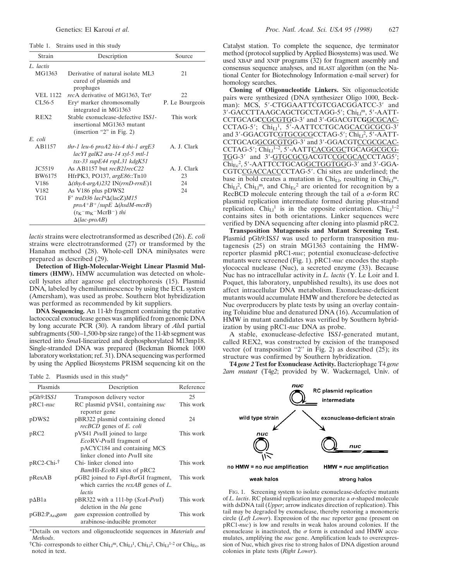Table 1. Strains used in this study

| Strain           | Description                                                                                                                  | Source          |
|------------------|------------------------------------------------------------------------------------------------------------------------------|-----------------|
| L. lactis        |                                                                                                                              |                 |
| MG1363           | Derivative of natural isolate ML3<br>cured of plasmids and<br>prophages                                                      | 21              |
| <b>VEL 1122</b>  | recA derivative of MG1363, Tet <sup>r</sup>                                                                                  | 22              |
| $CL56-5$         | Ery <sup>r</sup> marker chromosomally<br>integrated in MG1363                                                                | P. Le Bourgeois |
| REX <sub>2</sub> | Stable exonuclease-defective ISS1-<br>insertional MG1363 mutant<br>(insertion "2" in Fig. 2)                                 | This work       |
| E coli           |                                                                                                                              |                 |
| AB1157           | thr-1 leu-6 proA2 his-4 thi-1 argE3<br>lacYI galK2 ara-14 xyl-5 mtl-1<br>tsx-33 supE44 rspL31 kdgK51                         | A. J. Clark     |
| JC5519           | As AB1157 but recB21recC22                                                                                                   | A. J. Clark     |
| BW6175           | HfrPK3, PO137, argE86::Tn10                                                                                                  | 23              |
| V <sub>186</sub> | $\Delta$ (thyA-argA)232 IN(rrnD-rrnE)1                                                                                       | 24              |
| V <sub>182</sub> | As V <sub>186</sub> plus pDWS <sub>2</sub>                                                                                   | 24              |
| TG1              | F' traD36 lacI $\Delta$ (lacZ)M15<br>$proA+B^{+}/supE \Delta(hsdM-mcrB)$<br>$(r_K^-m_K^-McrB^-)$ thi<br>$\Delta (lac$ -proAB |                 |

*lactis* strains were electrotransformed as described (26). *E. coli* strains were electrotransformed (27) or transformed by the Hanahan method (28). Whole-cell DNA minilysates were prepared as described (29).

**Detection of High-Molecular-Weight Linear Plasmid Multimers (HMW).** HMW accumulation was detected on wholecell lysates after agarose gel electrophoresis (15). Plasmid DNA, labeled by chemiluminescence by using the ECL system (Amersham), was used as probe. Southern blot hybridization was performed as recommended by kit suppliers.

**DNA Sequencing.** An 11-kb fragment containing the putative lactococcal exonuclease genes was amplified from genomic DNA by long accurate PCR (30). A random library of *Alu*I partial subfragments (500–1,500-bp size range) of the 11-kb segment was inserted into *Sma*I-linearized and dephosphorylated M13mp18. Single-stranded DNA was prepared (Beckman Biomek 1000 laboratory workstation; ref. 31). DNA sequencing was performed by using the Applied Biosystems PRISM sequencing kit on the

Table 2. Plasmids used in this study\*

| Plasmids            | Description                                                                                                                          | Reference |
|---------------------|--------------------------------------------------------------------------------------------------------------------------------------|-----------|
| pGh9:ISS1           | Transposon delivery vector                                                                                                           | 25        |
| $pRC1-nuc$          | RC plasmid pVS41, containing <i>nuc</i><br>reporter gene                                                                             | This work |
| pDWS2               | pBR322 plasmid containing cloned<br><i>recBCD</i> genes of <i>E. coli</i>                                                            | 24        |
| pRC <sub>2</sub>    | pVS41 <i>PvuII</i> joined to large<br><i>EcoRV-PvuII</i> fragment of<br>pACYC184 and containing MCS<br>linker cloned into PvuII site | This work |
| pRC2-Chi-†          | Chi-linker cloned into<br>BamHI-EcoRI sites of pRC2                                                                                  | This work |
| $p$ Rex $AB$        | pGB2 joined to <i>FspI-BsrGI</i> fragment,<br>which carries the $rexAB$ genes of $L$ .<br>lactis                                     | This work |
| $p\Delta B1a$       | pBR322 with a 111-bp (Scal-Pvul)<br>deletion in the <i>bla</i> gene                                                                  | This work |
| $pGB2:Pr_{Ara}$ gam | <i>gam</i> expression controlled by<br>arabinose-inducible promoter                                                                  | This work |

\*Details on vectors and oligonucleotide sequences in *Materials and Methods*.  $\ddot{\uparrow}$ Chi- corresponds to either Chi<sub>Ll</sub><sup>m</sup>, Chi<sub>Ll</sub><sup>1</sup>, Chi<sub>Ll</sub><sup>2</sup>, Chi<sub>Ll</sub><sup>1-2</sup> or Chi<sub>Ec</sub>, as

noted in text.

Catalyst station. To complete the sequence, dye terminator method (protocol supplied by Applied Biosystems) was used. We used XBAP and XNIP programs (32) for fragment assembly and consensus sequence analyses, and BLAST algorithm (on the National Center for Biotechnology Information e-mail server) for homology searches.

**Cloning of Oligonucleotide Linkers.** Six oligonucleotide pairs were synthesized (DNA synthesizer Oligo 1000, Beckman): MCS, 5'-CTGGAATTCGTCGACGGATCC-3' and 3'-GACCTTAAGCAGCTGCCTAGG-5'; Chi<sub>Ll</sub>m, 5'-AATT-CCTGCAG**C**CGCGTGG-39 and 39-GGACGTC**G**GCGCAC-CCTAG-5'; Chi<sub>Ll</sub><sup>1</sup>, 5'-AATTCCTGCAG<u>CACGCGC</u>G-3' and 3'-GGACGTCGTGCGCGCCTAG-5'; Chi<sub>Ll</sub><sup>2</sup>, 5'-AATT-CCTGCAGGCGCGTGG-3' and 3'-GGACGTCCGCGCAC-CCTAG-5'; ChiLl<sup>1-2</sup>, 5'-AATTCACGCGCTGCAGGCGCG-TGG-3' and 3'-GTGCGCGACGTCCGCGCACCCTAG5';  $\text{Chi}_{\text{Ec}}^2$ , 5'-AATTCCTGCAGGCTGGTGGG-3' and 3'-GGA-CGTCCGACCACCCCTAG-5'. Chi sites are underlined; the base in bold creates a mutation in Chi<sub>Ll</sub>, resulting in Chi<sub>Ll</sub><sup>m</sup>.  $Chi_{\text{LI}}^2$ ,  $Chi_{\text{LI}}^m$ , and  $Chi_{\text{Ec}}^2$  are oriented for recognition by a RecBCD molecule entering through the tail of a  $\sigma$ -form RC plasmid replication intermediate formed during plus-strand replication. Chi<sub>Ll</sub><sup>1</sup> is in the opposite orientation. Chi<sub>Ll</sub><sup>1-2</sup> contains sites in both orientations. Linker sequences were verified by DNA sequencing after cloning into plasmid pRC2.

**Transposition Mutagenesis and Mutant Screening Test.** Plasmid pGh9:IS*S1* was used to perform transposition mutagenesis (25) on strain MG1363 containing the HMWreporter plasmid pRC1-*nuc*; potential exonuclease-defective mutants were screened (Fig. 1). pRC1-*nuc* encodes the staphylococcal nuclease (Nuc), a secreted enzyme (33). Because Nuc has no intracellular activity in *L. lactis* (Y. Le Loir and I. Poquet, this laboratory, unpublished results), its use does not affect intracellular DNA metabolism. Exonuclease-deficient mutants would accumulate HMW and therefore be detected as Nuc overproducers by plate tests by using an overlay containing Toluidine blue and denatured DNA (16). Accumulation of HMW in mutant candidates was verified by Southern hybridization by using pRC1-*nuc* DNA as probe.

A stable, exonuclease-defective IS*S1*-generated mutant, called REX2, was constructed by excision of the transposed vector (of transposition "2" in Fig. 2) as described  $(25)$ ; its structure was confirmed by Southern hybridization.

**T4** *gene 2* **Test for Exonuclease Activity.** Bacteriophage T4 *gene 2am mutant* (T4*g2*; provided by W. Wackernagel, Univ. of



FIG. 1. Screening system to isolate exonuclease-defective mutants of  $L$ . *lactis*. RC plasmid replication may generate a  $\sigma$ -shaped molecule with dsDNA tail (*Upper*; arrow indicates direction of replication). This tail may be degraded by exonuclease, thereby restoring a monomeric circle (*Left Lower*). Expression of the *nuc* reporter gene (present on pRC1-*nuc*) is low and results in weak halos around colonies. If the exonuclease is inactivated, the  $\sigma$  form is extended and HMW accumulates, amplifying the *nuc* gene. Amplification leads to overexpression of Nuc, which gives rise to strong halos of DNA digestion around colonies in plate tests (*Right Lower*).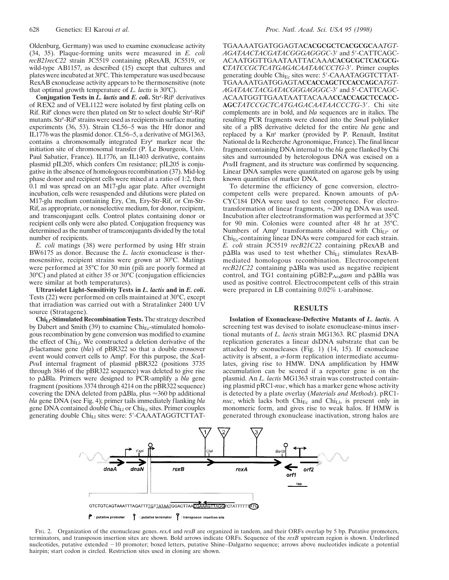Oldenburg, Germany) was used to examine exonuclease activity (34, 35). Plaque-forming units were measured in *E. coli recB21recC22* strain JC5519 containing pRexAB, JC5519, or wild-type AB1157, as described (15) except that cultures and plates were incubated at 30°C. This temperature was used because RexAB exonuclease activity appears to be thermosensitive (note that optimal growth temperature of *L. lactis* is 30°C).

**Conjugation Tests in** *L. lactis* **and** *E. coli***.** Strr -Rifr derivatives of REX2 and of VEL1122 were isolated by first plating cells on Rif. Rif<sup>r</sup> clones were then plated on Str to select double Str<sup>r</sup>-Rif<sup>r</sup> mutants. Str<sup>r</sup>-Rif<sup>r</sup> strains were used as recipients in surface mating experiments (36, 53). Strain CL56–5 was the Hfr donor and IL1776 was the plasmid donor. CL56–5, a derivative of MG1363, contains a chromosomally integrated Eryr marker near the initiation site of chromosomal transfer (P. Le Bourgeois, Univ. Paul Sabatier, France). IL1776, an IL1403 derivative, contains plasmid pIL205, which confers Cm resistance; pIL205 is conjugative in the absence of homologous recombination (37). Mid-log phase donor and recipient cells were mixed at a ratio of 1:2, then 0.1 ml was spread on an M17-glu agar plate. After overnight incubation, cells were resuspended and dilutions were plated on M17-glu medium containing Ery, Cm, Ery-Str-Rif, or Cm-Str-Rif, as appropriate, or nonselective medium, for donor, recipient, and transconjugant cells. Control plates containing donor or recipient cells only were also plated. Conjugation frequency was determined as the number of transconjugants divided by the total number of recipients.

*E. coli* matings (38) were performed by using Hfr strain BW6175 as donor. Because the *L. lactis* exonuclease is thermosensitive, recipient strains were grown at 30°C. Matings were performed at 35°C for 30 min (pili are poorly formed at 30°C) and plated at either 35 or 30°C (conjugation efficiencies were similar at both temperatures).

**Ultraviolet Light-Sensitivity Tests in** *L. lactis* **and in** *E. coli***.** Tests (22) were performed on cells maintained at 30°C, except that irradiation was carried out with a Stratalinker 2400 UV source (Stratagene).

Chi<sub>Ll</sub>-Stimulated Recombination Tests. The strategy described by Dabert and Smith (39) to examine  $\text{Chi}_{\text{Ec}}$ -stimulated homologous recombination by gene conversion was modified to examine the effect of  $Chi_{Ll}$ . We constructed a deletion derivative of the b-lactamase gene (*bla*) of pBR322 so that a double crossover event would convert cells to Ampr . For this purpose, the *Sca*I-*Pvu*I internal fragment of plasmid pBR322 (positions 3735 through 3846 of the pBR322 sequence) was deleted to give rise to p $\Delta$ Bla. Primers were designed to PCR-amplify a *bla* gene fragment (positions 3374 through 4214 on the pBR322 sequence) covering the DNA deleted from  $p\Delta B$ la, plus  $\approx$ 360 bp additional *bla* gene DNA (see Fig. 4); primer tails immediately flanking *bla* gene DNA contained double  $\text{Chi}_{\text{L1}}$  or  $\text{Chi}_{\text{Ec}}$  sites. Primer couples generating double  $Chi_{L1}$  sites were:  $5'$ -CAAATAGGTCTTAT-

TGAAAATGATGGAGTA**CACGCGC**T**CACGCGC**AA*TGT-*AGATAACTACGATACGGGAGGGC-3' and 5'-CATTCAGC-ACAATGGTTGAATAATTACAAA**CACGCGC**T**CACGCG-**CTATCCGCTCATGAGACAATAACCCTG-3'. Primer couples generating double  $\text{Chi}_{\text{Ec}}$  sites were: 5'-CAAATAGGTCTTAT-TGAAAATGATGGAGTA**CCACCAGC**T**CCACCAGC**A*TGT-AGATAACTACGATACGGGAGGGC-3'* and 5'-CATTCAGC-ACAATGGTTGAATAATTACAAA**CCACCAGC**T**CCACC-**AGCTATCCGCTCATGAGACAATAACCCTG-3'. Chi site complements are in bold, and *bla* sequences are in italics. The resulting PCR fragments were cloned into the *Sma*I polylinker site of a pBS derivative deleted for the entire *bla* gene and replaced by a Knr marker (provided by P. Renault, Institut National de la Recherche Agronomique, France). The final linear fragment containing DNA internal to the *bla* gene flanked by Chi sites and surrounded by heterologous DNA was excised on a *Pvu*II fragment, and its structure was confirmed by sequencing. Linear DNA samples were quantitated on agarose gels by using known quantities of marker DNA.

To determine the efficiency of gene conversion, electrocompetent cells were prepared. Known amounts of pA-CYC184 DNA were used to test competence. For electrotransformation of linear fragments,  $\approx 200$  ng DNA was used. Incubation after electrotransformation was performed at 35°C for 90 min. Colonies were counted after 48 hr at 35°C. Numbers of Amp<sup>r</sup> transformants obtained with Chi<sub>Ll</sub>- or  $\text{Chi}_{\text{Ec}}$ -containing linear DNAs were compared for each strain. *E. coli* strain JC5519 *recB21C22* containing pRexAB and  $p\Delta B$ la was used to test whether Chi<sub>Ll</sub> stimulates RexABmediated homologous recombination. Electrocompetent  $recB2IC22$  containing  $p\Delta B$ la was used as negative recipient control, and TG1 containing pGB2:P<sub>Ara</sub>gam and p $\Delta$ Bla was used as positive control. Electrocompetent cells of this strain were prepared in LB containing 0.02% L-arabinose.

#### **RESULTS**

**Isolation of Exonuclease-Defective Mutants of** *L. lactis.* A screening test was devised to isolate exonuclease-minus insertional mutants of *L. lactis* strain MG1363. RC plasmid DNA replication generates a linear dsDNA substrate that can be attacked by exonucleases (Fig. 1) (14, 15). If exonuclease activity is absent, a  $\sigma$ -form replication intermediate accumulates, giving rise to HMW. DNA amplification by HMW accumulation can be scored if a reporter gene is on the plasmid. An *L. lactis* MG1363 strain was constructed containing plasmid pRC1-*nuc*, which has a marker gene whose activity is detected by a plate overlay (*Materials and Methods*). pRC1 *nuc*, which lacks both  $\text{Chi}_{\text{Ec}}$  and  $\text{Chi}_{\text{Ll}}$ , is present only in monomeric form, and gives rise to weak halos. If HMW is generated through exonuclease inactivation, strong halos are



FIG. 2. Organization of the exonuclease genes. *rexA* and *rexB* are organized in tandem, and their ORFs overlap by 5 bp. Putative promoters, terminators, and transposon insertion sites are shown. Bold arrows indicate ORFs. Sequence of the *rexB* upstream region is shown. Underlined nucleotides, putative extended -10 promoter; boxed letters, putative Shine–Dalgarno sequence; arrows above nucleotides indicate a potential hairpin; start codon is circled. Restriction sites used in cloning are shown.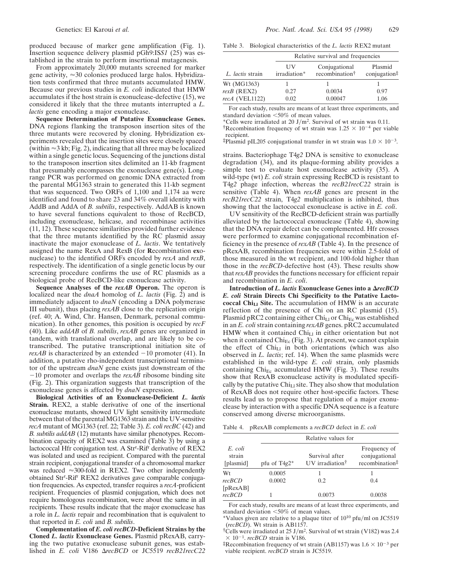produced because of marker gene amplification (Fig. 1). Insertion sequence delivery plasmid pGh9:IS*S1* (25) was established in the strain to perform insertional mutagenesis.

From approximately 20,000 mutants screened for marker gene activity,  $\approx 30$  colonies produced large halos. Hybridization tests confirmed that three mutants accumulated HMW. Because our previous studies in *E. coli* indicated that HMW accumulates if the host strain is exonuclease-defective (15), we considered it likely that the three mutants interrupted a *L. lactis* gene encoding a major exonuclease.

**Sequence Determination of Putative Exonuclease Genes.** DNA regions flanking the transposon insertion sites of the three mutants were recovered by cloning. Hybridization experiments revealed that the insertion sites were closely spaced (within  $\approx$  3 kb; Fig. 2), indicating that all three may be localized within a single genetic locus. Sequencing of the junctions distal to the transposon insertion sites delimited an 11-kb fragment that presumably encompasses the exonuclease gene(s). Longrange PCR was performed on genomic DNA extracted from the parental MG1363 strain to generated this 11-kb segment that was sequenced. Two ORFs of 1,100 and 1,174 aa were identified and found to share 23 and 34% overall identity with AddB and AddA of *B. subtilis*, respectively. AddAB is known to have several functions equivalent to those of RecBCD, including exonuclease, helicase, and recombinase activities (11, 12). These sequence similarities provided further evidence that the three mutants identified by the RC plasmid assay inactivate the major exonuclease of *L. lactis*. We tentatively assigned the name RexA and RexB (for **R**ecombination **ex**onuclease) to the identified ORFs encoded by *rexA* and *rexB*, respectively. The identification of a single genetic locus by our screening procedure confirms the use of RC plasmids as a biological probe of RecBCD-like exonuclease activity.

**Sequence Analyses of the** *rexAB* **Operon.** The operon is localized near the *dnaA* homolog of *L. lactis* (Fig. 2) and is immediately adjacent to *dnaN* (encoding a DNA polymerase III subunit), thus placing *rexAB* close to the replication origin (ref. 40; A. Wind, Chr. Hansen, Denmark, personal communication). In other genomes, this position is occupied by *recF* (40). Like *addAB* of *B. subtilis*, *rexAB* genes are organized in tandem, with translational overlap, and are likely to be cotranscribed. The putative transcriptional initiation site of *rexAB* is characterized by an extended  $-10$  promoter (41). In addition, a putative rho-independent transcriptional terminator of the upstream *dnaN* gene exists just downstream of the  $-10$  promoter and overlaps the *rexAB* ribosome binding site (Fig. 2). This organization suggests that transcription of the exonuclease genes is affected by *dnaN* expression.

**Biological Activities of an Exonuclease-Deficient** *L. lactis* **Strain.** REX2, a stable derivative of one of the insertional exonuclease mutants, showed UV light sensitivity intermediate between that of the parental MG1363 strain and the UV-sensitive *recA* mutant of MG1363 (ref. 22; Table 3). *E. coli recBC* (42) and *B. subtilis addAB* (12) mutants have similar phenotypes. Recombination capacity of REX2 was examined (Table 3) by using a lactococcal Hfr conjugation test. A Str<sup>r</sup>-Rif<sup>r</sup> derivative of REX2 was isolated and used as recipient. Compared with the parental strain recipient, conjugational transfer of a chromosomal marker was reduced  $\approx$ 300-fold in REX2. Two other independently obtained Str<sup>r</sup>-Rif<sup>r</sup> REX2 derivatives gave comparable conjugation frequencies. As expected, transfer requires a *recA*-proficient recipient. Frequencies of plasmid conjugation, which does not require homologous recombination, were about the same in all recipients. These results indicate that the major exonuclease has a role in *L. lactis* repair and recombination that is equivalent to that reported in *E. coli* and *B. subtilis*.

**Complementation of** *E. coli recBCD***-Deficient Strains by the Cloned** *L. lactis* **Exonuclease Genes.** Plasmid pRexAB, carrying the two putative exonuclease subunit genes, was established in *E. coli* V186  $\triangle$ *recBCD* or JC5519 *recB21recC22* 

| Relative survival and frequencies |
|-----------------------------------|
|                                   |

| L. lactis strain | UV<br>irradiation* | Conjugational<br>recombination <sup>†</sup> | Plasmid<br>conjugation# |
|------------------|--------------------|---------------------------------------------|-------------------------|
| Wt (MG1363)      |                    |                                             |                         |
| $rexB$ (REX2)    | 0.27               | 0.0034                                      | 0.97                    |
| recA (VEL1122)   | 0.02               | 0.00047                                     | 1.06                    |

For each study, results are means of at least three experiments, and standard deviation  $<$  50% of mean values.

\*Cells were irradiated at 20 J/m<sup>2</sup>. Survival of wt strain was 0.11.

<sup>†</sup>Recombination frequency of wt strain was  $1.25 \times 10^{-4}$  per viable

recipient.  $\frac{1}{4}$ Plasmid pIL205 conjugational transfer in wt strain was  $1.0 \times 10^{-3}$ .

strains. Bacteriophage T4*g2* DNA is sensitive to exonuclease degradation (34), and its plaque-forming ability provides a simple test to evaluate host exonuclease activity (35). A wild-type (wt) *E. coli* strain expressing RecBCD is resistant to T4*g2* phage infection, whereas the *recB21recC22* strain is sensitive (Table 4). When *rexAB* genes are present in the *recB21recC22* strain, T4*g2* multiplication is inhibited, thus showing that the lactococcal exonuclease is active in *E. coli*.

UV sensitivity of the RecBCD-deficient strain was partially alleviated by the lactococcal exonuclease (Table 4), showing that the DNA repair defect can be complemented. Hfr crosses were performed to examine conjugational recombination efficiency in the presence of *rexAB* (Table 4). In the presence of pRexAB, recombination frequencies were within 2.5-fold of those measured in the wt recipient, and 100-fold higher than those in the *recBCD*-defective host (43). These results show that *rexAB* provides the functions necessary for efficient repair and recombination in *E. coli*.

**Introduction of** *L. lactis* **Exonuclease Genes into a ΔrecBCD** *E. coli* **Strain Directs Chi Specificity to the Putative Lactococcal Chi<sub>Ll</sub> Site.** The accumulation of HMW is an accurate reflection of the presence of Chi on an RC plasmid (15). Plasmid pRC2 containing either  $Chi_{L1}$  or  $Chi_{Ec}$  was established in an *E. coli* strain containing *rexAB* genes. pRC2 accumulated HMW when it contained  $Chi_{L1}$  in either orientation but not when it contained  $\text{Chi}_{\text{Ec}}$  (Fig. 3). At present, we cannot explain the effect of  $Chi_{L1}$  in both orientations (which was also observed in *L. lactis*; ref. 14). When the same plasmids were established in the wild-type *E. coli* strain, only plasmids containing  $\text{Chi}_{\text{Ec}}$  accumulated HMW (Fig. 3). These results show that RexAB exonuclease activity is modulated specifically by the putative  $Chi_{L1}$  site. They also show that modulation of RexAB does not require other host-specific factors. These results lead us to propose that regulation of a major exonuclease by interaction with a specific DNA sequence is a feature conserved among diverse microorganisms.

Table 4. pRexAB complements a *recBCD* defect in *E. coli*

|              | Relative values for |                               |                          |
|--------------|---------------------|-------------------------------|--------------------------|
| E. coli      |                     |                               | Frequency of             |
| strain       |                     | Survival after                | conjugational            |
| [plasmid]    | pfu of $T4g2*$      | $UV$ irradiation <sup>†</sup> | recombination $\ddagger$ |
| Wt           | 0.0005              |                               |                          |
| recBCD       | 0.0002              | 0.2                           | 0.4                      |
| [ $pRexAB$ ] |                     |                               |                          |
| recBCD       |                     | 0.0073                        | 0.0038                   |

For each study, results are means of at least three experiments, and standard deviation  $<$  50% of mean values.

<sup>†</sup>Cells were irradiated at 25 J/m<sup>2</sup>. Survival of wt strain (V182) was 2.4  $\times$  10<sup>-1</sup>. *recBCD* strain is V186.

<sup>‡</sup>Recombination frequency of wt strain (AB1157) was  $1.6 \times 10^{-3}$  per viable recipient. *recBCD* strain is JC5519.

Values given are relative to a plaque titer of  $10^{10}$  pfu/ml on JC5519 (*recBCD*). Wt strain is AB1157.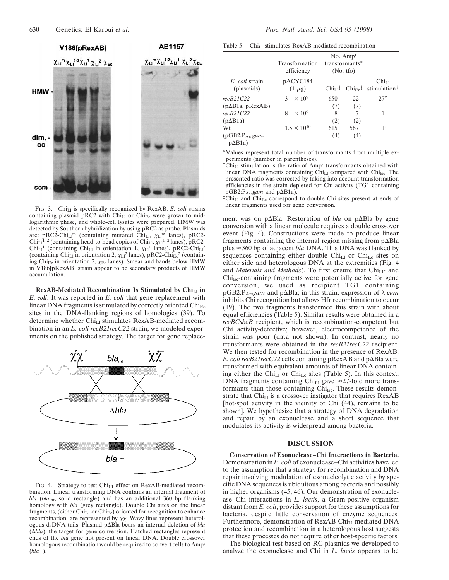

FIG. 3. Chi<sub>Ll</sub> is specifically recognized by RexAB. *E. coli* strains containing plasmid pRC2 with  $Chi_{L1}$  or  $Chi_{Ec}$  were grown to midlogarithmic phase, and whole-cell lysates were prepared. HMW was detected by Southern hybridization by using pRC2 as probe. Plasmids are: pRC2-Chi<sub>Ll</sub>m (containing mutated Chi<sub>Ll</sub>,  $\chi_{\text{LI}}$ <sup>m</sup> lanes), pRC2- $Chi_{\text{L1}}^{1-2}$  (containing head-to-head copies of  $Chi_{\text{L1}} \chi_{\text{L1}}^{1-2}$  lanes), pRC2-Chi<sub>Ll</sub><sup>1</sup> (containing Chi<sub>Ll</sub> in orientation 1,  $\chi_{\text{Ll}}$ <sup>1</sup> lanes), pRC2-Chi<sub>Ll</sub><sup>2</sup> (containing Chi<sub>Ll</sub> in orientation 2,  $\chi_{\text{L}1}^2$  lanes), pRC2-Chi<sub>Ec</sub><sup>2</sup> (containing Chi<sub>Ec</sub> in orientation 2,  $\chi$ <sub>Ec</sub> lanes). Smear and bands below HMW in V186[pRexAB] strain appear to be secondary products of HMW accumulation.

**RexAB-Mediated Recombination Is Stimulated by ChiLl in** *E. coli.* It was reported in *E. coli* that gene replacement with linear DNA fragments is stimulated by correctly oriented  $\text{Chi}_{\text{Ec}}$ sites in the DNA-flanking regions of homologies (39). To determine whether  $Chi_{L1}$  stimulates RexAB-mediated recombination in an *E. coli recB21recC22* strain, we modeled experiments on the published strategy. The target for gene replace-



FIG. 4. Strategy to test Chi<sub>L1</sub> effect on RexAB-mediated recombination. Linear transforming DNA contains an internal fragment of *bla* (*bla*int, solid rectangle) and has an additional 360 bp flanking homology with *bla* (grey rectangle). Double Chi sites on the linear fragments, (either Chi<sub>L1</sub> or Chi<sub>Ec</sub>) oriented for recognition to enhance recombination, are represented by  $\chi\chi$ . Wavy lines represent heterologous dsDNA tails. Plasmid p $\Delta$ Bla bears an internal deletion of *bla*  $(\Delta bla)$ , the target for gene conversion. Hatched rectangles represent ends of the *bla* gene not present on linear DNA. Double crossover homologous recombination would be required to convert cells to Ampr  $(bla^+)$ .

Table 5.  $Chi_{L1}$  stimulates RexAB-mediated recombination

|                                               | Transformation<br>efficiency | No. Amp <sup>r</sup><br>transformants*<br>(No. tfo) |     |                                                                                                                                       |
|-----------------------------------------------|------------------------------|-----------------------------------------------------|-----|---------------------------------------------------------------------------------------------------------------------------------------|
| E. coli strain<br>(plasmids)                  | pACYC184<br>$(1 \mu g)$      |                                                     |     | $Chi_{11}$<br>$Chi_{Li}$ <sup><math>\ddagger</math></sup> Chi <sub>Ec</sub> <sup><math>\ddagger</math></sup> stimulation <sup>†</sup> |
| recB21C22                                     | 3 $\times 10^9$              | 650                                                 | 22  | 271                                                                                                                                   |
| $(p\Delta B1a, pRexAB)$                       |                              | (7)                                                 | (7) |                                                                                                                                       |
| recB21C22                                     | $\times 10^9$<br>8           | 8                                                   | 7   |                                                                                                                                       |
| $(p\Delta B1a)$                               |                              | (2)                                                 | (2) |                                                                                                                                       |
| Wt                                            | $1.5 \times 10^{10}$         | 615                                                 | 567 | 1†                                                                                                                                    |
| (pGB2:Pa <sub>ra</sub> gam,<br>$p\Delta B1a)$ |                              | (4)                                                 | (4) |                                                                                                                                       |

\*Values represent total number of transformants from multiple experiments (number in parentheses).

<sup>†</sup>Chi<sub>Ll</sub> stimulation is the ratio of Amp<sup>r</sup> transformants obtained with linear DNA fragments containing  $\overline{\text{Chi}}_{L1}$  compared with  $\overline{\text{Chi}}_{Ec}$ . The presented ratio was corrected by taking into account transformation efficiencies in the strain depleted for Chi activity (TG1 containing pGB2:P<sub>Ara</sub>gam and p $\Delta$ B1a).

 ${}^{\ddagger}$ Chi<sub>Ll</sub> and Chi<sub>Ec</sub> correspond to double Chi sites present at ends of linear fragments used for gene conversion.

ment was on p $\Delta$ Bla. Restoration of *bla* on p $\Delta$ Bla by gene conversion with a linear molecule requires a double crossover event (Fig. 4). Constructions were made to produce linear fragments containing the internal region missing from  $p\Delta B$ la plus '360 bp of adjacent *bla* DNA. This DNA was flanked by sequences containing either double  $Chi_{L1}$  or  $Chi_{Ec}$  sites on either side and heterologous DNA at the extremities (Fig. 4 and *Materials and Methods*). To first ensure that Chi<sub>Ll</sub>- and  $Chi<sub>Ec</sub>$ -containing fragments were potentially active for gene conversion, we used as recipient TG1 containing pGB2: P<sub>Ara</sub>gam and pΔBla; in this strain, expression of  $\lambda$  *gam* inhibits Chi recognition but allows Hfr recombination to occur (19). The two fragments transformed this strain with about equal efficiencies (Table 5). Similar results were obtained in a *recBCsbcB* recipient, which is recombination-competent but Chi activity-defective; however, electrocompetence of the strain was poor (data not shown). In contrast, nearly no transformants were obtained in the *recB21recC22* recipient. We then tested for recombination in the presence of RexAB. *E. coli recB21recC22* cells containing  $p$ RexAB and  $p$  $\Delta$ Bla were transformed with equivalent amounts of linear DNA containing either the Chi<sub>Ll</sub> or Chi<sub>Ec</sub> sites (Table 5). In this context, DNA fragments containing Chi<sub>Ll</sub> gave  $\approx$ 27-fold more transformants than those containing  $\text{Chi}_{\text{Ec}}$ . These results demonstrate that  $Chi_{L1}$  is a crossover instigator that requires  $R$ exAB [hot-spot activity in the vicinity of Chi (44), remains to be shown]. We hypothesize that a strategy of DNA degradation and repair by an exonuclease and a short sequence that modulates its activity is widespread among bacteria.

#### **DISCUSSION**

**Conservation of Exonuclease–Chi Interactions in Bacteria.** Demonstration in *E. coli* of exonuclease–Chi activities have led to the assumption that a strategy for recombination and DNA repair involving modulation of exonucleolytic activity by specific DNA sequences is ubiquitous among bacteria and possibly in higher organisms (45, 46). Our demonstration of exonuclease–Chi interactions in *L. lactis*, a Gram-positive organism distant from *E. coli*, provides support for these assumptions for bacteria, despite little conservation of enzyme sequences. Furthermore, demonstration of RexAB-Chi<sub>Ll</sub>-mediated DNA protection and recombination in a heterologous host suggests that these processes do not require other host-specific factors.

The biological test based on RC plasmids we developed to analyze the exonuclease and Chi in *L. lactis* appears to be